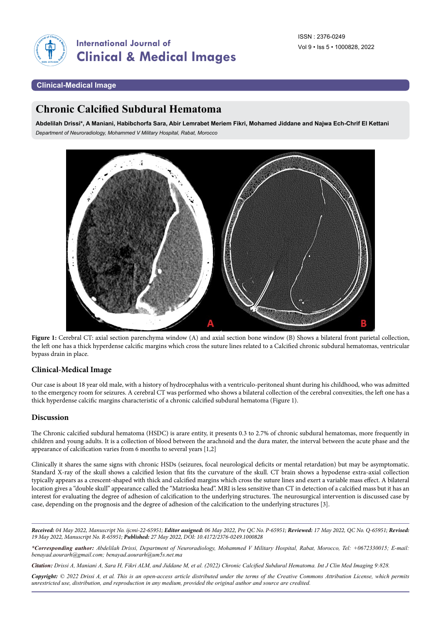

#### **Clinical-Medical Image**

# **Chronic Calcified Subdural Hematoma**

**Abdelilah Drissi\*, A Maniani, Habibchorfa Sara, Abir Lemrabet Meriem Fikri, Mohamed Jiddane and Najwa Ech-Chrif El Kettani** *Department of Neuroradiology, Mohammed V Military Hospital, Rabat, Morocco*



**Figure 1:** Cerebral CT: axial section parenchyma window (A) and axial section bone window (B) Shows a bilateral front parietal collection, the left one has a thick hyperdense calcific margins which cross the suture lines related to a Calcified chronic subdural hematomas, ventricular bypass drain in place.

### **Clinical-Medical Image**

Our case is about 18 year old male, with a history of hydrocephalus with a ventriculo-peritoneal shunt during his childhood, who was admitted to the emergency room for seizures. A cerebral CT was performed who shows a bilateral collection of the cerebral convexities, the left one has a thick hyperdense calcific margins characteristic of a chronic calcified subdural hematoma (Figure 1).

### **Discussion**

The Chronic calcified subdural hematoma (HSDC) is arare entity, it presents 0.3 to 2.7% of chronic subdural hematomas, more frequently in children and young adults. It is a collection of blood between the arachnoid and the dura mater, the interval between the acute phase and the appearance of calcification varies from 6 months to several years [1,2]

Clinically it shares the same signs with chronic HSDs (seizures, focal neurological deficits or mental retardation) but may be asymptomatic. Standard X-ray of the skull shows a calcified lesion that fits the curvature of the skull. CT brain shows a hypodense extra-axial collection typically appears as a crescent-shaped with thick and calcified margins which cross the suture lines and exert a variable mass effect. A bilateral location gives a "double skull" appearance called the "Matrioska head". MRI is less sensitive than CT in detection of a calcified mass but it has an interest for evaluating the degree of adhesion of calcification to the underlying structures. The neurosurgical intervention is discussed case by case, depending on the prognosis and the degree of adhesion of the calcification to the underlying structures [3].

*Received: 04 May 2022, Manuscript No. ijcmi-22-65951; Editor assigned: 06 May 2022, Pre QC No. P-65951; Reviewed: 17 May 2022, QC No. Q-65951; Revised: 19 May 2022, Manuscript No. R-65951; Published: 27 May 2022, DOI: 10.4172/2376-0249.1000828*

*Citation: Drissi A, Maniani A, Sara H, Fikri ALM, and Jiddane M, et al. (2022) Chronic Calcified Subdural Hematoma. Int J Clin Med Imaging 9:828.*

*Copyright: © 2022 Drissi A, et al. This is an open-access article distributed under the terms of the Creative Commons Attribution License, which permits unrestricted use, distribution, and reproduction in any medium, provided the original author and source are credited.*

*<sup>\*</sup>Corresponding author: Abdelilah Drissi, Department of Neuroradiology, Mohammed V Military Hospital, Rabat, Morocco, Tel: +0672330015; E-mail: [benayad.aourarh@gmail.com;](mailto:benayad.aourarh@gmail.com) [benayad.aourarh@um5s.net.ma](mailto:benayad.aourarh@um5s.net.ma)*